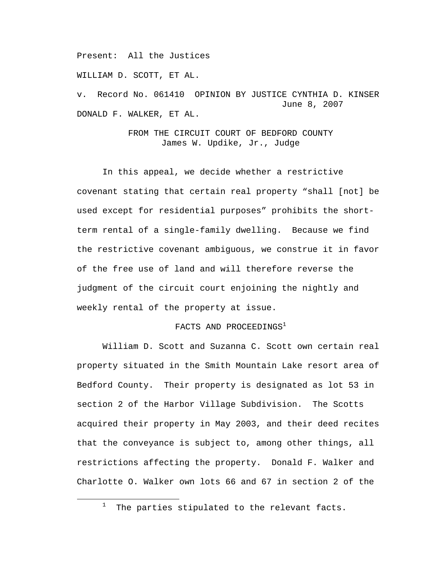Present: All the Justices

WILLIAM D. SCOTT, ET AL.

v. Record No. 061410 OPINION BY JUSTICE CYNTHIA D. KINSER June 8, 2007 DONALD F. WALKER, ET AL.

> FROM THE CIRCUIT COURT OF BEDFORD COUNTY James W. Updike, Jr., Judge

 In this appeal, we decide whether a restrictive covenant stating that certain real property "shall [not] be used except for residential purposes" prohibits the shortterm rental of a single-family dwelling. Because we find the restrictive covenant ambiguous, we construe it in favor of the free use of land and will therefore reverse the judgment of the circuit court enjoining the nightly and weekly rental of the property at issue.

## FACTS AND PROCEEDINGS<sup>1</sup>

William D. Scott and Suzanna C. Scott own certain real property situated in the Smith Mountain Lake resort area of Bedford County. Their property is designated as lot 53 in section 2 of the Harbor Village Subdivision. The Scotts acquired their property in May 2003, and their deed recites that the conveyance is subject to, among other things, all restrictions affecting the property. Donald F. Walker and Charlotte O. Walker own lots 66 and 67 in section 2 of the

<sup>1</sup>  $1$  The parties stipulated to the relevant facts.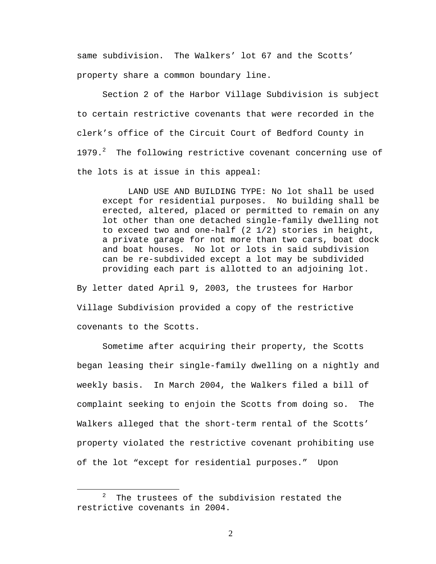same subdivision. The Walkers' lot 67 and the Scotts' property share a common boundary line.

Section 2 of the Harbor Village Subdivision is subject to certain restrictive covenants that were recorded in the clerk's office of the Circuit Court of Bedford County in 1979. $^2$  The following restrictive covenant concerning use of the lots is at issue in this appeal:

 LAND USE AND BUILDING TYPE: No lot shall be used except for residential purposes. No building shall be erected, altered, placed or permitted to remain on any lot other than one detached single-family dwelling not to exceed two and one-half  $(2 \t1/2)$  stories in height, a private garage for not more than two cars, boat dock and boat houses. No lot or lots in said subdivision can be re-subdivided except a lot may be subdivided providing each part is allotted to an adjoining lot.

By letter dated April 9, 2003, the trustees for Harbor Village Subdivision provided a copy of the restrictive covenants to the Scotts.

Sometime after acquiring their property, the Scotts began leasing their single-family dwelling on a nightly and weekly basis. In March 2004, the Walkers filed a bill of complaint seeking to enjoin the Scotts from doing so. The Walkers alleged that the short-term rental of the Scotts' property violated the restrictive covenant prohibiting use of the lot "except for residential purposes." Upon

<sup>2</sup> The trustees of the subdivision restated the restrictive covenants in 2004.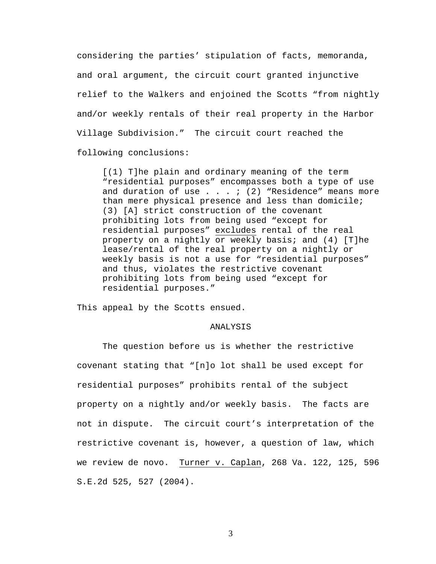considering the parties' stipulation of facts, memoranda, and oral argument, the circuit court granted injunctive relief to the Walkers and enjoined the Scotts "from nightly and/or weekly rentals of their real property in the Harbor Village Subdivision." The circuit court reached the following conclusions:

[(1) T]he plain and ordinary meaning of the term "residential purposes" encompasses both a type of use and duration of use  $\ldots$  . : (2) "Residence" means more than mere physical presence and less than domicile; (3) [A] strict construction of the covenant prohibiting lots from being used "except for residential purposes" excludes rental of the real property on a nightly or weekly basis; and (4) [T]he lease/rental of the real property on a nightly or weekly basis is not a use for "residential purposes" and thus, violates the restrictive covenant prohibiting lots from being used "except for residential purposes."

This appeal by the Scotts ensued.

## ANALYSIS

The question before us is whether the restrictive covenant stating that "[n]o lot shall be used except for residential purposes" prohibits rental of the subject property on a nightly and/or weekly basis. The facts are not in dispute. The circuit court's interpretation of the restrictive covenant is, however, a question of law, which we review de novo. Turner v. Caplan, 268 Va. 122, 125, 596 S.E.2d 525, 527 (2004).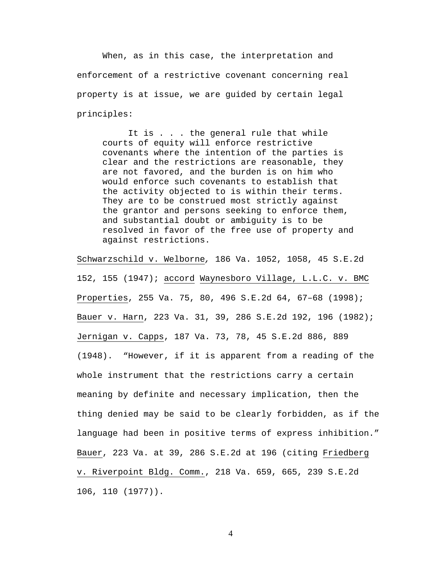When, as in this case, the interpretation and enforcement of a restrictive covenant concerning real property is at issue, we are guided by certain legal principles:

It is . . . the general rule that while courts of equity will enforce restrictive covenants where the intention of the parties is clear and the restrictions are reasonable, they are not favored, and the burden is on him who would enforce such covenants to establish that the activity objected to is within their terms. They are to be construed most strictly against the grantor and persons seeking to enforce them, and substantial doubt or ambiguity is to be resolved in favor of the free use of property and against restrictions.

Schwarzschild v. Welborne*,* 186 Va. 1052, 1058, 45 S.E.2d 152, 155 (1947); accord Waynesboro Village, L.L.C. v. BMC Properties, 255 Va. 75, 80, 496 S.E.2d 64, 67–68 (1998); Bauer v. Harn, 223 Va. 31, 39, 286 S.E.2d 192, 196 (1982); Jernigan v. Capps, 187 Va. 73, 78, 45 S.E.2d 886, 889 (1948). "However, if it is apparent from a reading of the whole instrument that the restrictions carry a certain meaning by definite and necessary implication, then the thing denied may be said to be clearly forbidden, as if the language had been in positive terms of express inhibition." Bauer, 223 Va. at 39, 286 S.E.2d at 196 (citing Friedberg v. Riverpoint Bldg. Comm., 218 Va. 659, 665, 239 S.E.2d 106, 110 (1977)).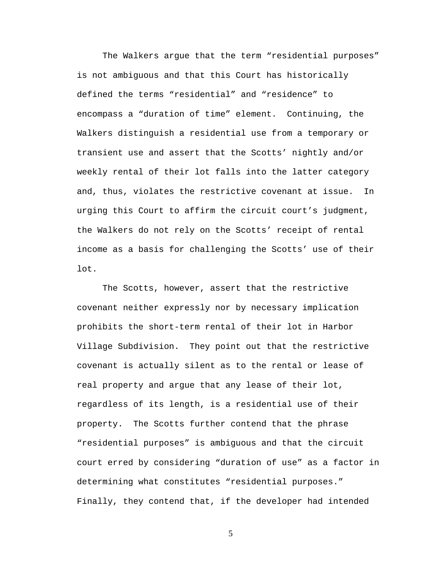The Walkers argue that the term "residential purposes" is not ambiguous and that this Court has historically defined the terms "residential" and "residence" to encompass a "duration of time" element. Continuing, the Walkers distinguish a residential use from a temporary or transient use and assert that the Scotts' nightly and/or weekly rental of their lot falls into the latter category and, thus, violates the restrictive covenant at issue. In urging this Court to affirm the circuit court's judgment, the Walkers do not rely on the Scotts' receipt of rental income as a basis for challenging the Scotts' use of their lot.

 The Scotts, however, assert that the restrictive covenant neither expressly nor by necessary implication prohibits the short-term rental of their lot in Harbor Village Subdivision. They point out that the restrictive covenant is actually silent as to the rental or lease of real property and argue that any lease of their lot, regardless of its length, is a residential use of their property. The Scotts further contend that the phrase "residential purposes" is ambiguous and that the circuit court erred by considering "duration of use" as a factor in determining what constitutes "residential purposes." Finally, they contend that, if the developer had intended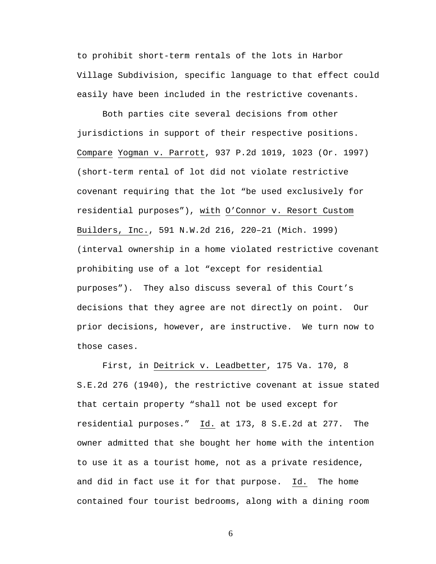to prohibit short-term rentals of the lots in Harbor Village Subdivision, specific language to that effect could easily have been included in the restrictive covenants.

 Both parties cite several decisions from other jurisdictions in support of their respective positions. Compare Yogman v. Parrott, 937 P.2d 1019, 1023 (Or. 1997) (short-term rental of lot did not violate restrictive covenant requiring that the lot "be used exclusively for residential purposes"), with O'Connor v. Resort Custom Builders, Inc., 591 N.W.2d 216, 220–21 (Mich. 1999) (interval ownership in a home violated restrictive covenant prohibiting use of a lot "except for residential purposes"). They also discuss several of this Court's decisions that they agree are not directly on point. Our prior decisions, however, are instructive. We turn now to those cases.

 First, in Deitrick v. Leadbetter, 175 Va. 170, 8 S.E.2d 276 (1940), the restrictive covenant at issue stated that certain property "shall not be used except for residential purposes." Id. at 173, 8 S.E.2d at 277. The owner admitted that she bought her home with the intention to use it as a tourist home, not as a private residence, and did in fact use it for that purpose. Id. The home contained four tourist bedrooms, along with a dining room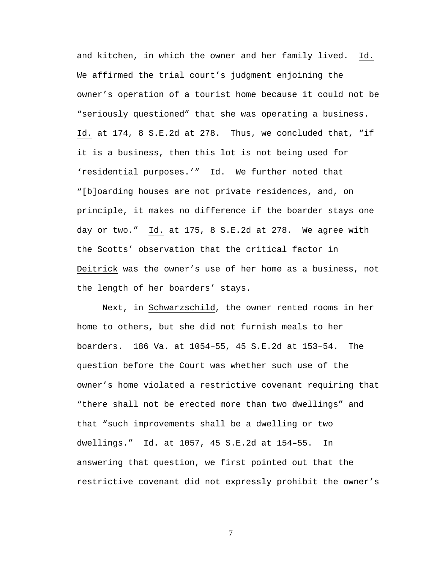and kitchen, in which the owner and her family lived. Id. We affirmed the trial court's judgment enjoining the owner's operation of a tourist home because it could not be "seriously questioned" that she was operating a business. Id. at 174, 8 S.E.2d at 278. Thus, we concluded that, "if it is a business, then this lot is not being used for 'residential purposes.'" Id. We further noted that "[b]oarding houses are not private residences, and, on principle, it makes no difference if the boarder stays one day or two." Id. at 175, 8 S.E.2d at 278. We agree with the Scotts' observation that the critical factor in Deitrick was the owner's use of her home as a business, not the length of her boarders' stays.

 Next, in Schwarzschild, the owner rented rooms in her home to others, but she did not furnish meals to her boarders. 186 Va. at 1054–55, 45 S.E.2d at 153–54. The question before the Court was whether such use of the owner's home violated a restrictive covenant requiring that "there shall not be erected more than two dwellings" and that "such improvements shall be a dwelling or two dwellings." Id. at 1057, 45 S.E.2d at 154–55. In answering that question, we first pointed out that the restrictive covenant did not expressly prohibit the owner's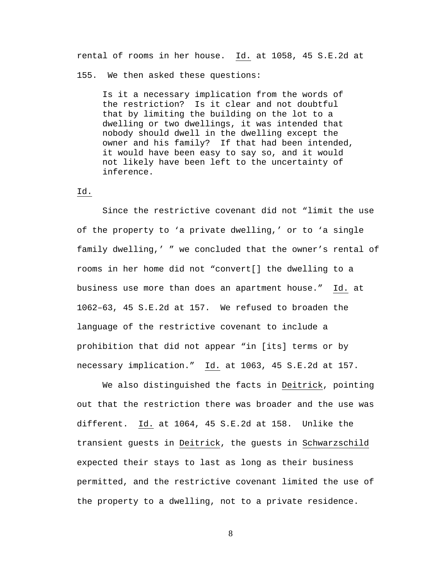rental of rooms in her house. Id. at 1058, 45 S.E.2d at

155. We then asked these questions:

Is it a necessary implication from the words of the restriction? Is it clear and not doubtful that by limiting the building on the lot to a dwelling or two dwellings, it was intended that nobody should dwell in the dwelling except the owner and his family? If that had been intended, it would have been easy to say so, and it would not likely have been left to the uncertainty of inference.

## Id.

Since the restrictive covenant did not "limit the use of the property to 'a private dwelling,' or to 'a single family dwelling,' " we concluded that the owner's rental of rooms in her home did not "convert[] the dwelling to a business use more than does an apartment house." Id. at 1062–63, 45 S.E.2d at 157. We refused to broaden the language of the restrictive covenant to include a prohibition that did not appear "in [its] terms or by necessary implication." Id. at 1063, 45 S.E.2d at 157.

 We also distinguished the facts in Deitrick, pointing out that the restriction there was broader and the use was different. Id. at 1064, 45 S.E.2d at 158. Unlike the transient guests in Deitrick, the guests in Schwarzschild expected their stays to last as long as their business permitted, and the restrictive covenant limited the use of the property to a dwelling, not to a private residence.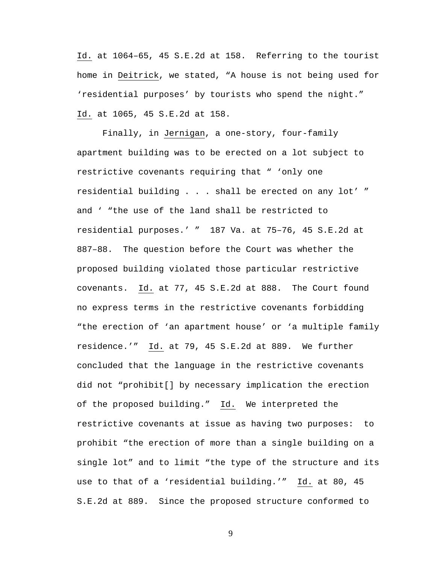Id. at 1064–65, 45 S.E.2d at 158. Referring to the tourist home in Deitrick, we stated, "A house is not being used for 'residential purposes' by tourists who spend the night." Id. at 1065, 45 S.E.2d at 158.

 Finally, in Jernigan, a one-story, four-family apartment building was to be erected on a lot subject to restrictive covenants requiring that " 'only one residential building . . . shall be erected on any lot' " and ' "the use of the land shall be restricted to residential purposes.' " 187 Va. at 75–76, 45 S.E.2d at 887–88. The question before the Court was whether the proposed building violated those particular restrictive covenants. Id. at 77, 45 S.E.2d at 888. The Court found no express terms in the restrictive covenants forbidding "the erection of 'an apartment house' or 'a multiple family residence.'" Id. at 79, 45 S.E.2d at 889. We further concluded that the language in the restrictive covenants did not "prohibit[] by necessary implication the erection of the proposed building." Id. We interpreted the restrictive covenants at issue as having two purposes: to prohibit "the erection of more than a single building on a single lot" and to limit "the type of the structure and its use to that of a 'residential building.'" Id. at 80, 45 S.E.2d at 889. Since the proposed structure conformed to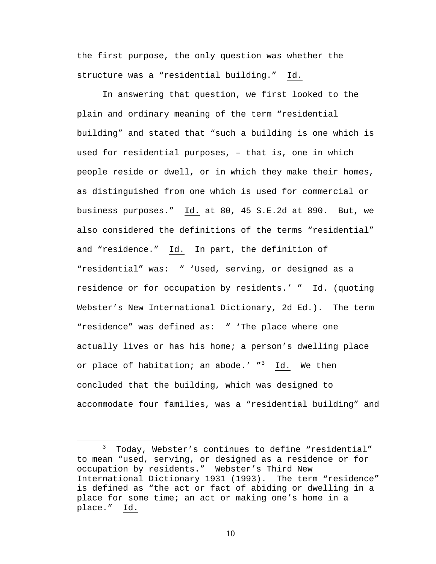the first purpose, the only question was whether the structure was a "residential building." Id.

In answering that question, we first looked to the plain and ordinary meaning of the term "residential building" and stated that "such a building is one which is used for residential purposes, – that is, one in which people reside or dwell, or in which they make their homes, as distinguished from one which is used for commercial or business purposes." Id. at 80, 45 S.E.2d at 890. But, we also considered the definitions of the terms "residential" and "residence." Id. In part, the definition of "residential" was: " 'Used, serving, or designed as a residence or for occupation by residents.' " Id. (quoting Webster's New International Dictionary, 2d Ed.). The term "residence" was defined as: " 'The place where one actually lives or has his home; a person's dwelling place or place of habitation; an abode.' "<sup>3</sup> Id. We then concluded that the building, which was designed to accommodate four families, was a "residential building" and

 $\frac{1}{3}$  Today, Webster's continues to define "residential" to mean "used, serving, or designed as a residence or for occupation by residents." Webster's Third New International Dictionary 1931 (1993). The term "residence" is defined as "the act or fact of abiding or dwelling in a place for some time; an act or making one's home in a place." Id.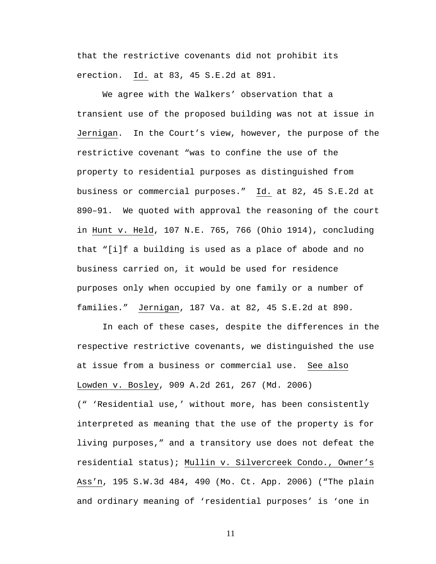that the restrictive covenants did not prohibit its erection. Id. at 83, 45 S.E.2d at 891.

We agree with the Walkers' observation that a transient use of the proposed building was not at issue in Jernigan. In the Court's view, however, the purpose of the restrictive covenant "was to confine the use of the property to residential purposes as distinguished from business or commercial purposes." Id. at 82, 45 S.E.2d at 890–91. We quoted with approval the reasoning of the court in Hunt v. Held, 107 N.E. 765, 766 (Ohio 1914), concluding that "[i]f a building is used as a place of abode and no business carried on, it would be used for residence purposes only when occupied by one family or a number of families." Jernigan, 187 Va. at 82, 45 S.E.2d at 890.

In each of these cases, despite the differences in the respective restrictive covenants, we distinguished the use at issue from a business or commercial use. See also Lowden v. Bosley, 909 A.2d 261, 267 (Md. 2006)

(" 'Residential use,' without more, has been consistently interpreted as meaning that the use of the property is for living purposes," and a transitory use does not defeat the residential status); Mullin v. Silvercreek Condo., Owner's Ass'n, 195 S.W.3d 484, 490 (Mo. Ct. App. 2006) ("The plain and ordinary meaning of 'residential purposes' is 'one in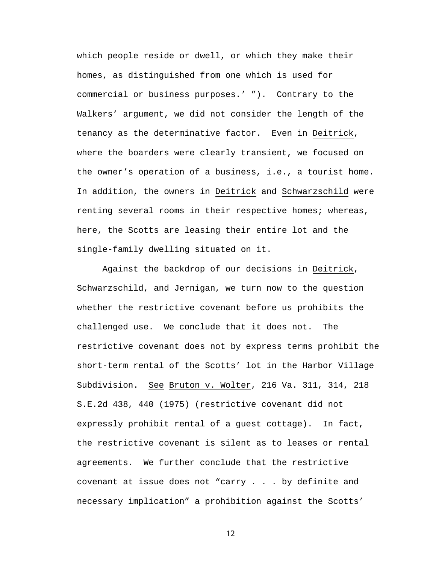which people reside or dwell, or which they make their homes, as distinguished from one which is used for commercial or business purposes.' "). Contrary to the Walkers' argument, we did not consider the length of the tenancy as the determinative factor. Even in Deitrick, where the boarders were clearly transient, we focused on the owner's operation of a business, i.e., a tourist home. In addition, the owners in Deitrick and Schwarzschild were renting several rooms in their respective homes; whereas, here, the Scotts are leasing their entire lot and the single-family dwelling situated on it.

Against the backdrop of our decisions in Deitrick, Schwarzschild, and Jernigan, we turn now to the question whether the restrictive covenant before us prohibits the challenged use. We conclude that it does not. The restrictive covenant does not by express terms prohibit the short-term rental of the Scotts' lot in the Harbor Village Subdivision. See Bruton v. Wolter, 216 Va. 311, 314, 218 S.E.2d 438, 440 (1975) (restrictive covenant did not expressly prohibit rental of a guest cottage). In fact, the restrictive covenant is silent as to leases or rental agreements. We further conclude that the restrictive covenant at issue does not "carry . . . by definite and necessary implication" a prohibition against the Scotts'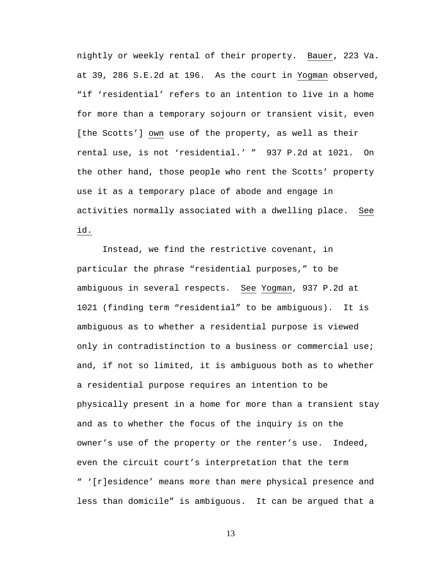nightly or weekly rental of their property. Bauer, 223 Va. at 39, 286 S.E.2d at 196. As the court in Yogman observed, "if 'residential' refers to an intention to live in a home for more than a temporary sojourn or transient visit, even [the Scotts'] own use of the property, as well as their rental use, is not 'residential.' " 937 P.2d at 1021. On the other hand, those people who rent the Scotts' property use it as a temporary place of abode and engage in activities normally associated with a dwelling place. See id.

Instead, we find the restrictive covenant, in particular the phrase "residential purposes," to be ambiguous in several respects. See Yogman, 937 P.2d at 1021 (finding term "residential" to be ambiguous). It is ambiguous as to whether a residential purpose is viewed only in contradistinction to a business or commercial use; and, if not so limited, it is ambiguous both as to whether a residential purpose requires an intention to be physically present in a home for more than a transient stay and as to whether the focus of the inquiry is on the owner's use of the property or the renter's use. Indeed, even the circuit court's interpretation that the term " '[r]esidence' means more than mere physical presence and less than domicile" is ambiguous. It can be argued that a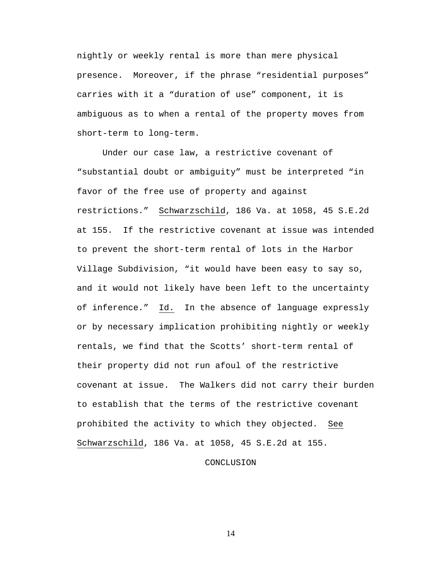nightly or weekly rental is more than mere physical presence. Moreover, if the phrase "residential purposes" carries with it a "duration of use" component, it is ambiguous as to when a rental of the property moves from short-term to long-term.

Under our case law, a restrictive covenant of "substantial doubt or ambiguity" must be interpreted "in favor of the free use of property and against restrictions." Schwarzschild, 186 Va. at 1058, 45 S.E.2d at 155. If the restrictive covenant at issue was intended to prevent the short-term rental of lots in the Harbor Village Subdivision, "it would have been easy to say so, and it would not likely have been left to the uncertainty of inference." Id. In the absence of language expressly or by necessary implication prohibiting nightly or weekly rentals, we find that the Scotts' short-term rental of their property did not run afoul of the restrictive covenant at issue. The Walkers did not carry their burden to establish that the terms of the restrictive covenant prohibited the activity to which they objected. See Schwarzschild, 186 Va. at 1058, 45 S.E.2d at 155.

## CONCLUSION